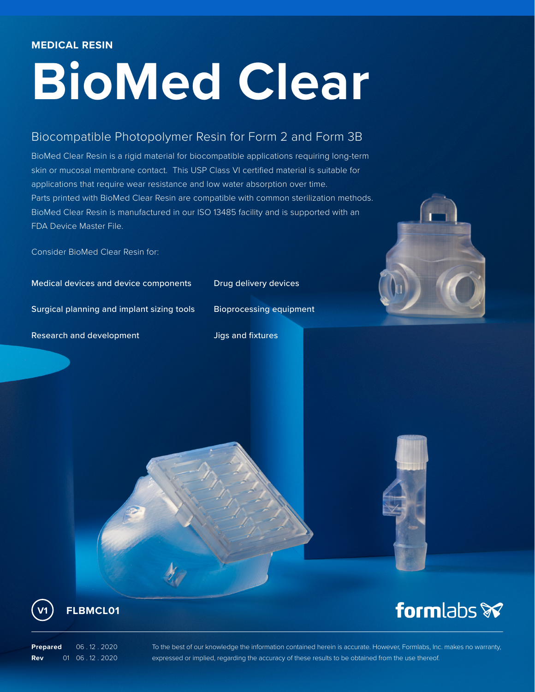## **BioMed Clear**

## Biocompatible Photopolymer Resin for Form 2 and Form 3B

BioMed Clear Resin is a rigid material for biocompatible applications requiring long-term skin or mucosal membrane contact. This USP Class VI certified material is suitable for applications that require wear resistance and low water absorption over time. Parts printed with BioMed Clear Resin are compatible with common sterilization methods. BioMed Clear Resin is manufactured in our ISO 13485 facility and is supported with an FDA Device Master File.

Consider BioMed Clear Resin for:

Medical devices and device components Drug delivery devices

Surgical planning and implant sizing tools Bioprocessing equipment

Research and development The Music Supersity Supersity Supersity Supersity Assets



formlabs **x** 



**FLBMCL01 V1**

**Prepared** 06 .12 . 2020 **Rev** 01 06 . 12 . 2020 To the best of our knowledge the information contained herein is accurate. However, Formlabs, Inc. makes no warranty, expressed or implied, regarding the accuracy of these results to be obtained from the use thereof.